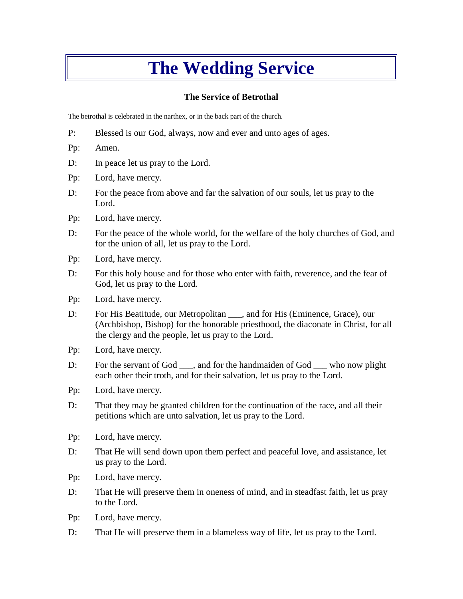## **The Wedding Service**

## **The Service of Betrothal**

The betrothal is celebrated in the narthex, or in the back part of the church.

- P: Blessed is our God, always, now and ever and unto ages of ages.
- Pp: Amen.
- D: In peace let us pray to the Lord.
- Pp: Lord, have mercy.
- D: For the peace from above and far the salvation of our souls, let us pray to the Lord.
- Pp: Lord, have mercy.
- D: For the peace of the whole world, for the welfare of the holy churches of God, and for the union of all, let us pray to the Lord.
- Pp: Lord, have mercy.
- D: For this holy house and for those who enter with faith, reverence, and the fear of God, let us pray to the Lord.
- Pp: Lord, have mercy.
- D: For His Beatitude, our Metropolitan \_\_\_, and for His (Eminence, Grace), our (Archbishop, Bishop) for the honorable priesthood, the diaconate in Christ, for all the clergy and the people, let us pray to the Lord.
- Pp: Lord, have mercy.
- D: For the servant of God <sub>\_\_\_</sub>, and for the handmaiden of God \_\_\_ who now plight each other their troth, and for their salvation, let us pray to the Lord.
- Pp: Lord, have mercy.
- D: That they may be granted children for the continuation of the race, and all their petitions which are unto salvation, let us pray to the Lord.
- Pp: Lord, have mercy.
- D: That He will send down upon them perfect and peaceful love, and assistance, let us pray to the Lord.
- Pp: Lord, have mercy.
- D: That He will preserve them in oneness of mind, and in steadfast faith, let us pray to the Lord.
- Pp: Lord, have mercy.
- D: That He will preserve them in a blameless way of life, let us pray to the Lord.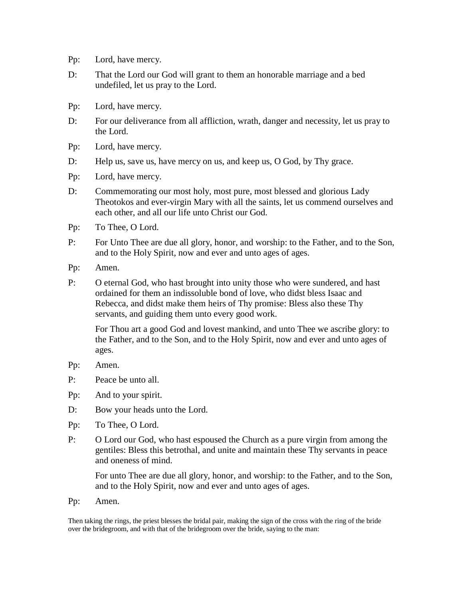- Pp: Lord, have mercy.
- D: That the Lord our God will grant to them an honorable marriage and a bed undefiled, let us pray to the Lord.
- Pp: Lord, have mercy.
- D: For our deliverance from all affliction, wrath, danger and necessity, let us pray to the Lord.
- Pp: Lord, have mercy.
- D: Help us, save us, have mercy on us, and keep us, O God, by Thy grace.
- Pp: Lord, have mercy.
- D: Commemorating our most holy, most pure, most blessed and glorious Lady Theotokos and ever-virgin Mary with all the saints, let us commend ourselves and each other, and all our life unto Christ our God.
- Pp: To Thee, O Lord.
- P: For Unto Thee are due all glory, honor, and worship: to the Father, and to the Son, and to the Holy Spirit, now and ever and unto ages of ages.
- Pp: Amen.
- P: O eternal God, who hast brought into unity those who were sundered, and hast ordained for them an indissoluble bond of love, who didst bless Isaac and Rebecca, and didst make them heirs of Thy promise: Bless also these Thy servants, and guiding them unto every good work.

For Thou art a good God and lovest mankind, and unto Thee we ascribe glory: to the Father, and to the Son, and to the Holy Spirit, now and ever and unto ages of ages.

- Pp: Amen.
- P: Peace be unto all.
- Pp: And to your spirit.
- D: Bow your heads unto the Lord.
- Pp: To Thee, O Lord.
- P: O Lord our God, who hast espoused the Church as a pure virgin from among the gentiles: Bless this betrothal, and unite and maintain these Thy servants in peace and oneness of mind.

For unto Thee are due all glory, honor, and worship: to the Father, and to the Son, and to the Holy Spirit, now and ever and unto ages of ages.

Pp: Amen.

Then taking the rings, the priest blesses the bridal pair, making the sign of the cross with the ring of the bride over the bridegroom, and with that of the bridegroom over the bride, saying to the man: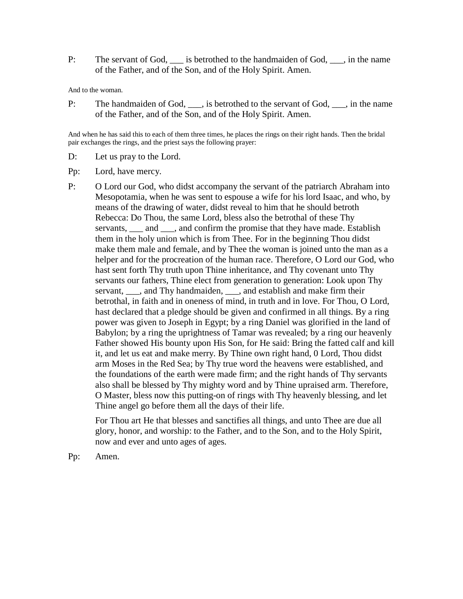P: The servant of God, is betrothed to the handmaiden of God, in the name of the Father, and of the Son, and of the Holy Spirit. Amen.

## And to the woman.

P: The handmaiden of God, \_\_\_, is betrothed to the servant of God, \_\_\_, in the name of the Father, and of the Son, and of the Holy Spirit. Amen.

And when he has said this to each of them three times, he places the rings on their right hands. Then the bridal pair exchanges the rings, and the priest says the following prayer:

- D: Let us pray to the Lord.
- Pp: Lord, have mercy.
- P: O Lord our God, who didst accompany the servant of the patriarch Abraham into Mesopotamia, when he was sent to espouse a wife for his lord Isaac, and who, by means of the drawing of water, didst reveal to him that he should betroth Rebecca: Do Thou, the same Lord, bless also the betrothal of these Thy servants, and  $\Box$ , and confirm the promise that they have made. Establish them in the holy union which is from Thee. For in the beginning Thou didst make them male and female, and by Thee the woman is joined unto the man as a helper and for the procreation of the human race. Therefore, O Lord our God, who hast sent forth Thy truth upon Thine inheritance, and Thy covenant unto Thy servants our fathers, Thine elect from generation to generation: Look upon Thy servant, \_\_\_, and Thy handmaiden, \_\_\_, and establish and make firm their betrothal, in faith and in oneness of mind, in truth and in love. For Thou, O Lord, hast declared that a pledge should be given and confirmed in all things. By a ring power was given to Joseph in Egypt; by a ring Daniel was glorified in the land of Babylon; by a ring the uprightness of Tamar was revealed; by a ring our heavenly Father showed His bounty upon His Son, for He said: Bring the fatted calf and kill it, and let us eat and make merry. By Thine own right hand, 0 Lord, Thou didst arm Moses in the Red Sea; by Thy true word the heavens were established, and the foundations of the earth were made firm; and the right hands of Thy servants also shall be blessed by Thy mighty word and by Thine upraised arm. Therefore, O Master, bless now this putting-on of rings with Thy heavenly blessing, and let Thine angel go before them all the days of their life.

For Thou art He that blesses and sanctifies all things, and unto Thee are due all glory, honor, and worship: to the Father, and to the Son, and to the Holy Spirit, now and ever and unto ages of ages.

Pp: Amen.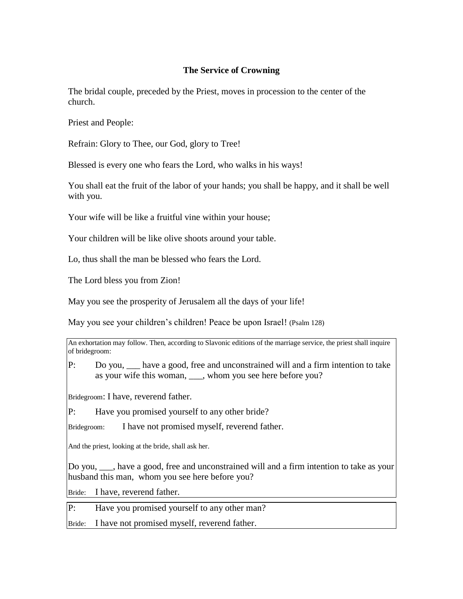## **The Service of Crowning**

The bridal couple, preceded by the Priest, moves in procession to the center of the church.

Priest and People:

Refrain: Glory to Thee, our God, glory to Tree!

Blessed is every one who fears the Lord, who walks in his ways!

You shall eat the fruit of the labor of your hands; you shall be happy, and it shall be well with you.

Your wife will be like a fruitful vine within your house;

Your children will be like olive shoots around your table.

Lo, thus shall the man be blessed who fears the Lord.

The Lord bless you from Zion!

May you see the prosperity of Jerusalem all the days of your life!

May you see your children's children! Peace be upon Israel! (Psalm 128)

An exhortation may follow. Then, according to Slavonic editions of the marriage service, the priest shall inquire of bridegroom:

P: Do you, have a good, free and unconstrained will and a firm intention to take as your wife this woman, \_\_\_, whom you see here before you?

Bridegroom: I have, reverend father.

P: Have you promised yourself to any other bride?

Bridegroom: I have not promised myself, reverend father.

And the priest, looking at the bride, shall ask her.

Do you, have a good, free and unconstrained will and a firm intention to take as your husband this man, whom you see here before you?

Bride: I have, reverend father.

| P: | Have you promised yourself to any other man?        |
|----|-----------------------------------------------------|
|    | Bride: I have not promised myself, reverend father. |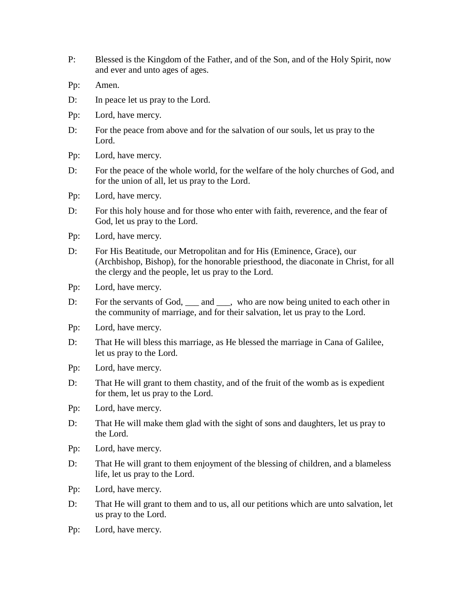- P: Blessed is the Kingdom of the Father, and of the Son, and of the Holy Spirit, now and ever and unto ages of ages.
- Pp: Amen.
- D: In peace let us pray to the Lord.
- Pp: Lord, have mercy.
- D: For the peace from above and for the salvation of our souls, let us pray to the Lord.
- Pp: Lord, have mercy.
- D: For the peace of the whole world, for the welfare of the holy churches of God, and for the union of all, let us pray to the Lord.
- Pp: Lord, have mercy.
- D: For this holy house and for those who enter with faith, reverence, and the fear of God, let us pray to the Lord.
- Pp: Lord, have mercy.
- D: For His Beatitude, our Metropolitan and for His (Eminence, Grace), our (Archbishop, Bishop), for the honorable priesthood, the diaconate in Christ, for all the clergy and the people, let us pray to the Lord.
- Pp: Lord, have mercy.
- D: For the servants of God, <u>equal and</u> sum who are now being united to each other in the community of marriage, and for their salvation, let us pray to the Lord.
- Pp: Lord, have mercy.
- D: That He will bless this marriage, as He blessed the marriage in Cana of Galilee, let us pray to the Lord.
- Pp: Lord, have mercy.
- D: That He will grant to them chastity, and of the fruit of the womb as is expedient for them, let us pray to the Lord.
- Pp: Lord, have mercy.
- D: That He will make them glad with the sight of sons and daughters, let us pray to the Lord.
- Pp: Lord, have mercy.
- D: That He will grant to them enjoyment of the blessing of children, and a blameless life, let us pray to the Lord.
- Pp: Lord, have mercy.
- D: That He will grant to them and to us, all our petitions which are unto salvation, let us pray to the Lord.
- Pp: Lord, have mercy.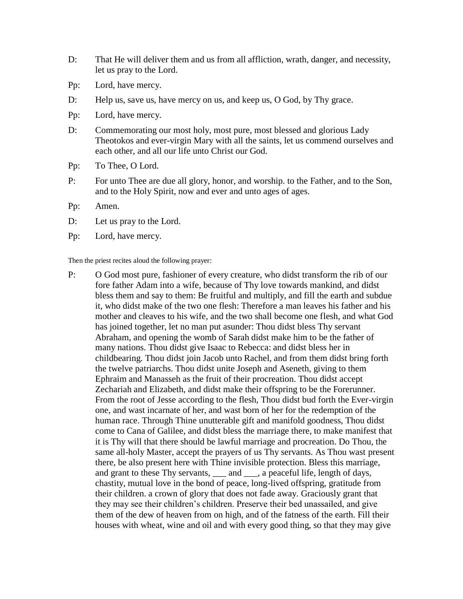- D: That He will deliver them and us from all affliction, wrath, danger, and necessity, let us pray to the Lord.
- Pp: Lord, have mercy.
- D: Help us, save us, have mercy on us, and keep us, O God, by Thy grace.
- Pp: Lord, have mercy.
- D: Commemorating our most holy, most pure, most blessed and glorious Lady Theotokos and ever-virgin Mary with all the saints, let us commend ourselves and each other, and all our life unto Christ our God.
- Pp: To Thee, O Lord.
- P: For unto Thee are due all glory, honor, and worship. to the Father, and to the Son, and to the Holy Spirit, now and ever and unto ages of ages.
- Pp: Amen.
- D: Let us pray to the Lord.
- Pp: Lord, have mercy.

Then the priest recites aloud the following prayer:

P: O God most pure, fashioner of every creature, who didst transform the rib of our fore father Adam into a wife, because of Thy love towards mankind, and didst bless them and say to them: Be fruitful and multiply, and fill the earth and subdue it, who didst make of the two one flesh: Therefore a man leaves his father and his mother and cleaves to his wife, and the two shall become one flesh, and what God has joined together, let no man put asunder: Thou didst bless Thy servant Abraham, and opening the womb of Sarah didst make him to be the father of many nations. Thou didst give Isaac to Rebecca: and didst bless her in childbearing. Thou didst join Jacob unto Rachel, and from them didst bring forth the twelve patriarchs. Thou didst unite Joseph and Aseneth, giving to them Ephraim and Manasseh as the fruit of their procreation. Thou didst accept Zechariah and Elizabeth, and didst make their offspring to be the Forerunner. From the root of Jesse according to the flesh, Thou didst bud forth the Ever-virgin one, and wast incarnate of her, and wast born of her for the redemption of the human race. Through Thine unutterable gift and manifold goodness, Thou didst come to Cana of Galilee, and didst bless the marriage there, to make manifest that it is Thy will that there should be lawful marriage and procreation. Do Thou, the same all-holy Master, accept the prayers of us Thy servants. As Thou wast present there, be also present here with Thine invisible protection. Bless this marriage, and grant to these Thy servants, \_\_\_ and \_\_\_, a peaceful life, length of days, chastity, mutual love in the bond of peace, long-lived offspring, gratitude from their children. a crown of glory that does not fade away. Graciously grant that they may see their children's children. Preserve their bed unassailed, and give them of the dew of heaven from on high, and of the fatness of the earth. Fill their houses with wheat, wine and oil and with every good thing, so that they may give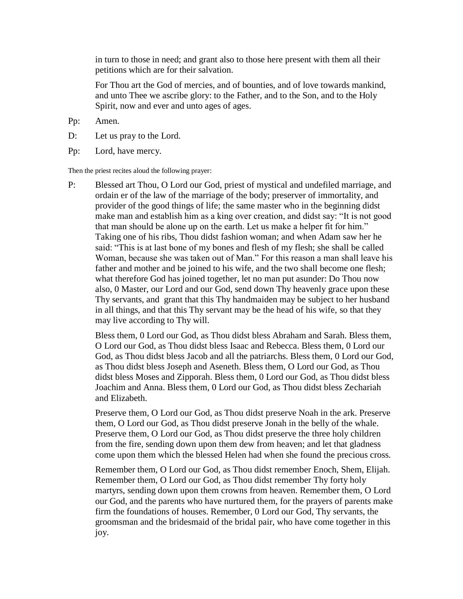in turn to those in need; and grant also to those here present with them all their petitions which are for their salvation.

For Thou art the God of mercies, and of bounties, and of love towards mankind, and unto Thee we ascribe glory: to the Father, and to the Son, and to the Holy Spirit, now and ever and unto ages of ages.

Pp: Amen.

- D: Let us pray to the Lord.
- Pp: Lord, have mercy.

Then the priest recites aloud the following prayer:

P: Blessed art Thou, O Lord our God, priest of mystical and undefiled marriage, and ordain er of the law of the marriage of the body; preserver of immortality, and provider of the good things of life; the same master who in the beginning didst make man and establish him as a king over creation, and didst say: "It is not good that man should be alone up on the earth. Let us make a helper fit for him." Taking one of his ribs, Thou didst fashion woman; and when Adam saw her he said: "This is at last bone of my bones and flesh of my flesh; she shall be called Woman, because she was taken out of Man." For this reason a man shall leave his father and mother and be joined to his wife, and the two shall become one flesh; what therefore God has joined together, let no man put asunder: Do Thou now also, 0 Master, our Lord and our God, send down Thy heavenly grace upon these Thy servants, and grant that this Thy handmaiden may be subject to her husband in all things, and that this Thy servant may be the head of his wife, so that they may live according to Thy will.

Bless them, 0 Lord our God, as Thou didst bless Abraham and Sarah. Bless them, O Lord our God, as Thou didst bless Isaac and Rebecca. Bless them, 0 Lord our God, as Thou didst bless Jacob and all the patriarchs. Bless them, 0 Lord our God, as Thou didst bless Joseph and Aseneth. Bless them, O Lord our God, as Thou didst bless Moses and Zipporah. Bless them, 0 Lord our God, as Thou didst bless Joachim and Anna. Bless them, 0 Lord our God, as Thou didst bless Zechariah and Elizabeth.

Preserve them, O Lord our God, as Thou didst preserve Noah in the ark. Preserve them, O Lord our God, as Thou didst preserve Jonah in the belly of the whale. Preserve them, O Lord our God, as Thou didst preserve the three holy children from the fire, sending down upon them dew from heaven; and let that gladness come upon them which the blessed Helen had when she found the precious cross.

Remember them, O Lord our God, as Thou didst remember Enoch, Shem, Elijah. Remember them, O Lord our God, as Thou didst remember Thy forty holy martyrs, sending down upon them crowns from heaven. Remember them, O Lord our God, and the parents who have nurtured them, for the prayers of parents make firm the foundations of houses. Remember, 0 Lord our God, Thy servants, the groomsman and the bridesmaid of the bridal pair, who have come together in this joy.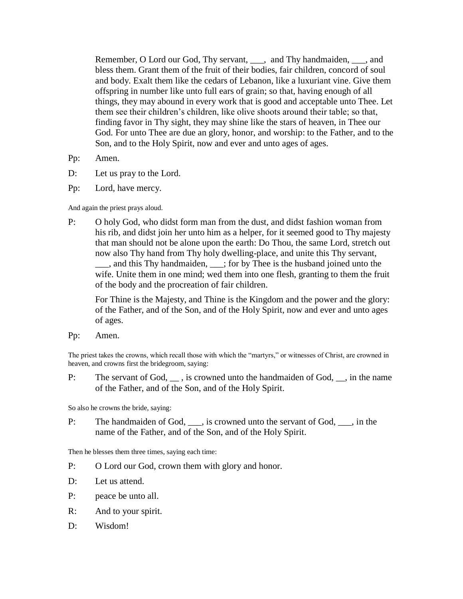Remember, O Lord our God, Thy servant, \_\_\_, and Thy handmaiden, \_\_\_, and bless them. Grant them of the fruit of their bodies, fair children, concord of soul and body. Exalt them like the cedars of Lebanon, like a luxuriant vine. Give them offspring in number like unto full ears of grain; so that, having enough of all things, they may abound in every work that is good and acceptable unto Thee. Let them see their children's children, like olive shoots around their table; so that, finding favor in Thy sight, they may shine like the stars of heaven, in Thee our God. For unto Thee are due an glory, honor, and worship: to the Father, and to the Son, and to the Holy Spirit, now and ever and unto ages of ages.

- Pp: Amen.
- D: Let us pray to the Lord.

Pp: Lord, have mercy.

And again the priest prays aloud.

P: O holy God, who didst form man from the dust, and didst fashion woman from his rib, and didst join her unto him as a helper, for it seemed good to Thy majesty that man should not be alone upon the earth: Do Thou, the same Lord, stretch out now also Thy hand from Thy holy dwelling-place, and unite this Thy servant,  $\Box$ , and this Thy handmaiden,  $\Box$ ; for by Thee is the husband joined unto the wife. Unite them in one mind; wed them into one flesh, granting to them the fruit of the body and the procreation of fair children.

For Thine is the Majesty, and Thine is the Kingdom and the power and the glory: of the Father, and of the Son, and of the Holy Spirit, now and ever and unto ages of ages.

Pp: Amen.

The priest takes the crowns, which recall those with which the "martyrs," or witnesses of Christ, are crowned in heaven, and crowns first the bridegroom, saying:

P: The servant of God,  $\Box$ , is crowned unto the handmaiden of God,  $\Box$ , in the name of the Father, and of the Son, and of the Holy Spirit.

So also he crowns the bride, saying:

P: The handmaiden of God,  $\Box$ , is crowned unto the servant of God,  $\Box$ , in the name of the Father, and of the Son, and of the Holy Spirit.

Then he blesses them three times, saying each time:

- P: O Lord our God, crown them with glory and honor.
- D: Let us attend.
- P: peace be unto all.
- R: And to your spirit.
- D: Wisdom!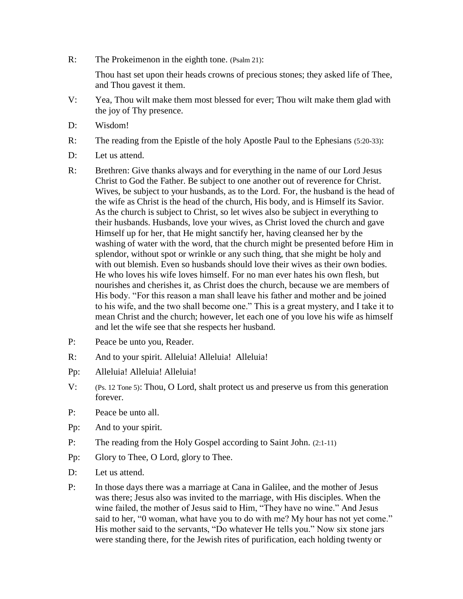R: The Prokeimenon in the eighth tone. (Psalm 21):

Thou hast set upon their heads crowns of precious stones; they asked life of Thee, and Thou gavest it them.

- V: Yea, Thou wilt make them most blessed for ever; Thou wilt make them glad with the joy of Thy presence.
- D: Wisdom!
- R: The reading from the Epistle of the holy Apostle Paul to the Ephesians (5:20-33):
- D: Let us attend.
- R: Brethren: Give thanks always and for everything in the name of our Lord Jesus Christ to God the Father. Be subject to one another out of reverence for Christ. Wives, be subject to your husbands, as to the Lord. For, the husband is the head of the wife as Christ is the head of the church, His body, and is Himself its Savior. As the church is subject to Christ, so let wives also be subject in everything to their husbands. Husbands, love your wives, as Christ loved the church and gave Himself up for her, that He might sanctify her, having cleansed her by the washing of water with the word, that the church might be presented before Him in splendor, without spot or wrinkle or any such thing, that she might be holy and with out blemish. Even so husbands should love their wives as their own bodies. He who loves his wife loves himself. For no man ever hates his own flesh, but nourishes and cherishes it, as Christ does the church, because we are members of His body. "For this reason a man shall leave his father and mother and be joined to his wife, and the two shall become one." This is a great mystery, and I take it to mean Christ and the church; however, let each one of you love his wife as himself and let the wife see that she respects her husband.
- P: Peace be unto you, Reader.
- R: And to your spirit. Alleluia! Alleluia! Alleluia!
- Pp: Alleluia! Alleluia! Alleluia!
- V: (Ps. 12 Tone 5): Thou, O Lord, shalt protect us and preserve us from this generation forever.
- P: Peace be unto all.
- Pp: And to your spirit.
- P: The reading from the Holy Gospel according to Saint John. (2:1-11)
- Pp: Glory to Thee, O Lord, glory to Thee.
- D: Let us attend.
- P: In those days there was a marriage at Cana in Galilee, and the mother of Jesus was there; Jesus also was invited to the marriage, with His disciples. When the wine failed, the mother of Jesus said to Him, "They have no wine." And Jesus said to her, "0 woman, what have you to do with me? My hour has not yet come." His mother said to the servants, "Do whatever He tells you." Now six stone jars were standing there, for the Jewish rites of purification, each holding twenty or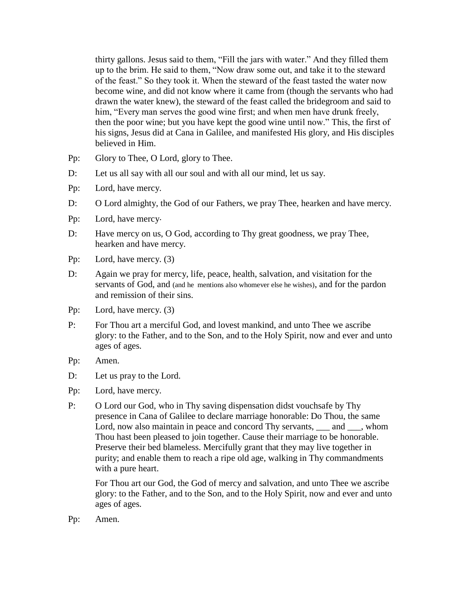thirty gallons. Jesus said to them, "Fill the jars with water." And they filled them up to the brim. He said to them, "Now draw some out, and take it to the steward of the feast." So they took it. When the steward of the feast tasted the water now become wine, and did not know where it came from (though the servants who had drawn the water knew), the steward of the feast called the bridegroom and said to him, "Every man serves the good wine first; and when men have drunk freely, then the poor wine; but you have kept the good wine until now." This, the first of his signs, Jesus did at Cana in Galilee, and manifested His glory, and His disciples believed in Him.

- Pp: Glory to Thee, O Lord, glory to Thee.
- D: Let us all say with all our soul and with all our mind, let us say.
- Pp: Lord, have mercy.
- D: O Lord almighty, the God of our Fathers, we pray Thee, hearken and have mercy.
- Pp: Lord, have mercy
- D: Have mercy on us, O God, according to Thy great goodness, we pray Thee, hearken and have mercy.
- Pp: Lord, have mercy. (3)
- D: Again we pray for mercy, life, peace, health, salvation, and visitation for the servants of God, and (and he mentions also whomever else he wishes), and for the pardon and remission of their sins.
- Pp: Lord, have mercy. (3)
- P: For Thou art a merciful God, and lovest mankind, and unto Thee we ascribe glory: to the Father, and to the Son, and to the Holy Spirit, now and ever and unto ages of ages.
- Pp: Amen.
- D: Let us pray to the Lord.
- Pp: Lord, have mercy.
- P: O Lord our God, who in Thy saving dispensation didst vouchsafe by Thy presence in Cana of Galilee to declare marriage honorable: Do Thou, the same Lord, now also maintain in peace and concord Thy servants, and , whom Thou hast been pleased to join together. Cause their marriage to be honorable. Preserve their bed blameless. Mercifully grant that they may live together in purity; and enable them to reach a ripe old age, walking in Thy commandments with a pure heart.

For Thou art our God, the God of mercy and salvation, and unto Thee we ascribe glory: to the Father, and to the Son, and to the Holy Spirit, now and ever and unto ages of ages.

Pp: Amen.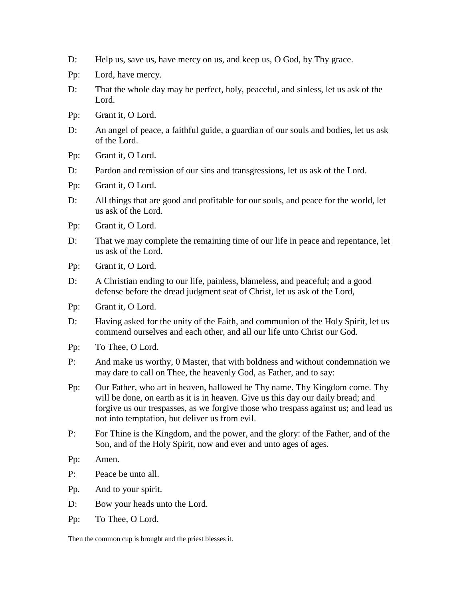- D: Help us, save us, have mercy on us, and keep us, O God, by Thy grace.
- Pp: Lord, have mercy.
- D: That the whole day may be perfect, holy, peaceful, and sinless, let us ask of the Lord.
- Pp: Grant it, O Lord.
- D: An angel of peace, a faithful guide, a guardian of our souls and bodies, let us ask of the Lord.
- Pp: Grant it, O Lord.
- D: Pardon and remission of our sins and transgressions, let us ask of the Lord.
- Pp: Grant it, O Lord.
- D: All things that are good and profitable for our souls, and peace for the world, let us ask of the Lord.
- Pp: Grant it, O Lord.
- D: That we may complete the remaining time of our life in peace and repentance, let us ask of the Lord.
- Pp: Grant it, O Lord.
- D: A Christian ending to our life, painless, blameless, and peaceful; and a good defense before the dread judgment seat of Christ, let us ask of the Lord,
- Pp: Grant it, O Lord.
- D: Having asked for the unity of the Faith, and communion of the Holy Spirit, let us commend ourselves and each other, and all our life unto Christ our God.
- Pp: To Thee, O Lord.
- P: And make us worthy, 0 Master, that with boldness and without condemnation we may dare to call on Thee, the heavenly God, as Father, and to say:
- Pp: Our Father, who art in heaven, hallowed be Thy name. Thy Kingdom come. Thy will be done, on earth as it is in heaven. Give us this day our daily bread; and forgive us our trespasses, as we forgive those who trespass against us; and lead us not into temptation, but deliver us from evil.
- P: For Thine is the Kingdom, and the power, and the glory: of the Father, and of the Son, and of the Holy Spirit, now and ever and unto ages of ages.
- Pp: Amen.
- P: Peace be unto all.
- Pp. And to your spirit.
- D: Bow your heads unto the Lord.
- Pp: To Thee, O Lord.

Then the common cup is brought and the priest blesses it.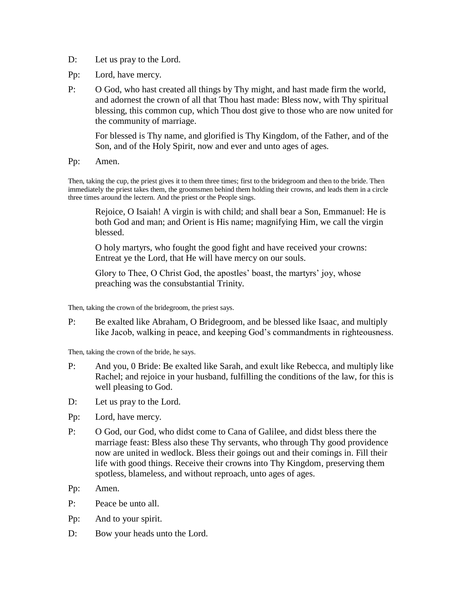- D: Let us pray to the Lord.
- Pp: Lord, have mercy.
- P: O God, who hast created all things by Thy might, and hast made firm the world, and adornest the crown of all that Thou hast made: Bless now, with Thy spiritual blessing, this common cup, which Thou dost give to those who are now united for the community of marriage.

For blessed is Thy name, and glorified is Thy Kingdom, of the Father, and of the Son, and of the Holy Spirit, now and ever and unto ages of ages.

Pp: Amen.

Then, taking the cup, the priest gives it to them three times; first to the bridegroom and then to the bride. Then immediately the priest takes them, the groomsmen behind them holding their crowns, and leads them in a circle three times around the lectern. And the priest or the People sings.

Rejoice, O Isaiah! A virgin is with child; and shall bear a Son, Emmanuel: He is both God and man; and Orient is His name; magnifying Him, we call the virgin blessed.

O holy martyrs, who fought the good fight and have received your crowns: Entreat ye the Lord, that He will have mercy on our souls.

Glory to Thee, O Christ God, the apostles' boast, the martyrs' joy, whose preaching was the consubstantial Trinity.

Then, taking the crown of the bridegroom, the priest says.

P: Be exalted like Abraham, O Bridegroom, and be blessed like Isaac, and multiply like Jacob, walking in peace, and keeping God's commandments in righteousness.

Then, taking the crown of the bride, he says.

- P: And you, 0 Bride: Be exalted like Sarah, and exult like Rebecca, and multiply like Rachel; and rejoice in your husband, fulfilling the conditions of the law, for this is well pleasing to God.
- D: Let us pray to the Lord.
- Pp: Lord, have mercy.
- P: O God, our God, who didst come to Cana of Galilee, and didst bless there the marriage feast: Bless also these Thy servants, who through Thy good providence now are united in wedlock. Bless their goings out and their comings in. Fill their life with good things. Receive their crowns into Thy Kingdom, preserving them spotless, blameless, and without reproach, unto ages of ages.
- Pp: Amen.
- P: Peace be unto all.
- Pp: And to your spirit.
- D: Bow your heads unto the Lord.